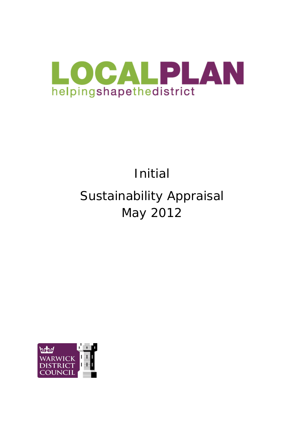

# Initial Sustainability Appraisal May 2012

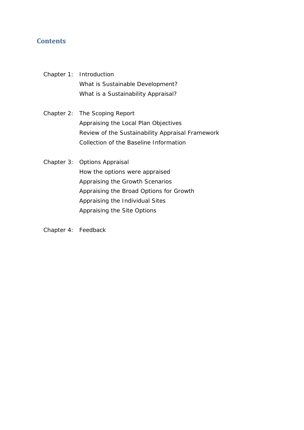## **Contents**

- Chapter 1: Introduction What is Sustainable Development? What is a Sustainability Appraisal?
- Chapter 2: The Scoping Report Appraising the Local Plan Objectives Review of the Sustainability Appraisal Framework Collection of the Baseline Information
- Chapter 3: Options Appraisal How the options were appraised Appraising the Growth Scenarios Appraising the Broad Options for Growth Appraising the Individual Sites Appraising the Site Options

Chapter 4: Feedback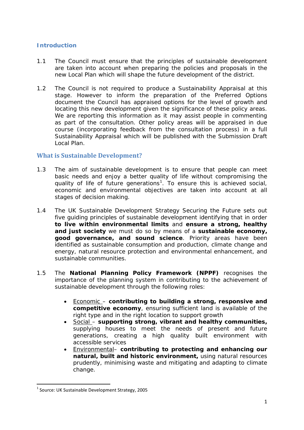## **Introduction**

- 1.1 The Council must ensure that the principles of sustainable development are taken into account when preparing the policies and proposals in the new Local Plan which will shape the future development of the district.
- 1.2 The Council is not required to produce a Sustainability Appraisal at this stage. However to inform the preparation of the Preferred Options document the Council has appraised options for the level of growth and locating this new development given the significance of these policy areas. We are reporting this information as it may assist people in commenting as part of the consultation. Other policy areas will be appraised in due course (incorporating feedback from the consultation process) in a full Sustainability Appraisal which will be published with the Submission Draft Local Plan.

## **What is Sustainable Development?**

- 1.3 The aim of sustainable development is to *ensure that people can meet basic needs and enjoy a better quality of life without compromising the quality of life of future generations[1](#page-3-0) .* To ensure this is achieved social, economic and environmental objectives are taken into account at all stages of decision making.
- 1.4 The UK Sustainable Development Strategy *Securing the Future* sets out five guiding principles of sustainable development identifying that in order **to live within environmental limits** and **ensure a strong, healthy and just society** we must do so by means of a **sustainable economy, good governance, and sound science**. Priority areas have been identified as sustainable consumption and production, climate change and energy, natural resource protection and environmental enhancement, and sustainable communities.
- 1.5 The **National Planning Policy Framework (NPPF)** recognises the importance of the planning system in contributing to the achievement of sustainable development through the following roles:
	- Economic contributing to building a strong, responsive and **competitive economy**, ensuring sufficient land is available of the right type and in the right location to support growth
	- Social – **supporting strong, vibrant and healthy communities,**  supplying houses to meet the needs of present and future generations, creating a high quality built environment with accessible services
	- Environmental– **contributing to protecting and enhancing our natural, built and historic environment,** using natural resources prudently, minimising waste and mitigating and adapting to climate change.

<span id="page-3-0"></span> $1$  Source: UK Sustainable Development Strategy, 2005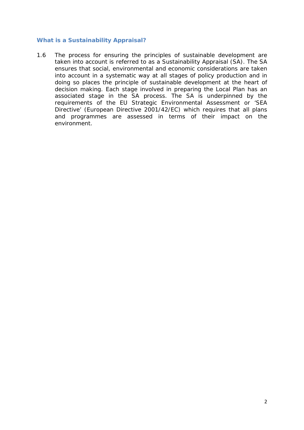#### **What is a Sustainability Appraisal?**

1.6 The process for ensuring the principles of sustainable development are taken into account is referred to as a Sustainability Appraisal (SA). The SA ensures that social, environmental and economic considerations are taken into account in a systematic way at all stages of policy production and in doing so places the principle of sustainable development at the heart of decision making. Each stage involved in preparing the Local Plan has an associated stage in the SA process. The SA is underpinned by the requirements of the EU Strategic Environmental Assessment or 'SEA Directive' (European Directive 2001/42/EC) which requires that all plans and programmes are assessed in terms of their impact on the environment.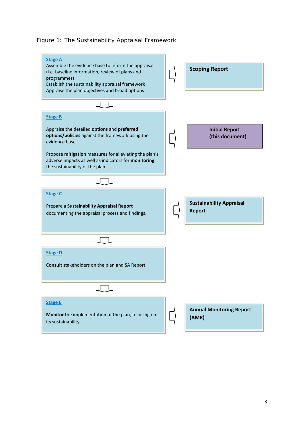#### Figure 1: The Sustainability Appraisal Framework

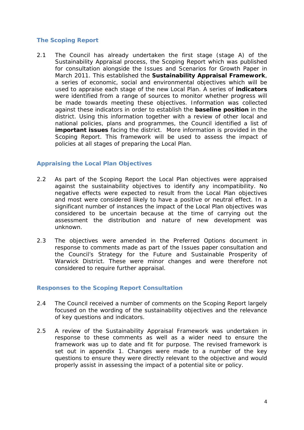#### **The Scoping Report**

2.1 The Council has already undertaken the first stage (stage A) of the Sustainability Appraisal process, the Scoping Report which was published for consultation alongside the Issues and Scenarios for Growth Paper in March 2011. This established the **Sustainability Appraisal Framework**, a series of economic, social and environmental objectives which will be used to appraise each stage of the new Local Plan. A series of **indicators**  were identified from a range of sources to monitor whether progress will be made towards meeting these objectives. Information was collected against these indicators in order to establish the **baseline position** in the district. Using this information together with a review of other local and national policies, plans and programmes, the Council identified a list of **important issues** facing the district. More information is provided in the Scoping Report. This framework will be used to assess the impact of policies at all stages of preparing the Local Plan.

#### **Appraising the Local Plan Objectives**

- 2.2 As part of the Scoping Report the Local Plan objectives were appraised against the sustainability objectives to identify any incompatibility. No negative effects were expected to result from the Local Plan objectives and most were considered likely to have a positive or neutral effect. In a significant number of instances the impact of the Local Plan objectives was considered to be uncertain because at the time of carrying out the assessment the distribution and nature of new development was unknown.
- 2.3 The objectives were amended in the Preferred Options document in response to comments made as part of the Issues paper consultation and the *Council's Strategy for the Future and Sustainable Prosperity of Warwick District.* These were minor changes and were therefore not considered to require further appraisal.

#### **Responses to the Scoping Report Consultation**

- 2.4 The Council received a number of comments on the Scoping Report largely focused on the wording of the sustainability objectives and the relevance of key questions and indicators.
- 2.5 A review of the Sustainability Appraisal Framework was undertaken in response to these comments as well as a wider need to ensure the framework was up to date and fit for purpose. The revised framework is set out in appendix 1. Changes were made to a number of the key questions to ensure they were directly relevant to the objective and would properly assist in assessing the impact of a potential site or policy.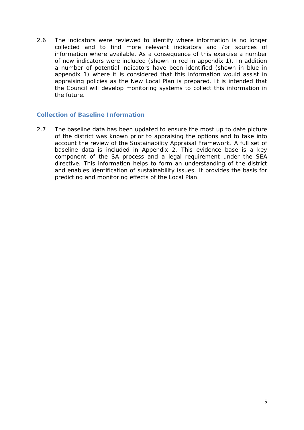2.6 The indicators were reviewed to identify where information is no longer collected and to find more relevant indicators and /or sources of information where available. As a consequence of this exercise a number of new indicators were included (shown in red in appendix 1). In addition a number of potential indicators have been identified (shown in blue in appendix 1) where it is considered that this information would assist in appraising policies as the New Local Plan is prepared. It is intended that the Council will develop monitoring systems to collect this information in the future.

#### **Collection of Baseline Information**

2.7 The baseline data has been updated to ensure the most up to date picture of the district was known prior to appraising the options and to take into account the review of the Sustainability Appraisal Framework. A full set of baseline data is included in Appendix 2. This evidence base is a key component of the SA process and a legal requirement under the SEA directive. This information helps to form an understanding of the district and enables identification of sustainability issues. It provides the basis for predicting and monitoring effects of the Local Plan.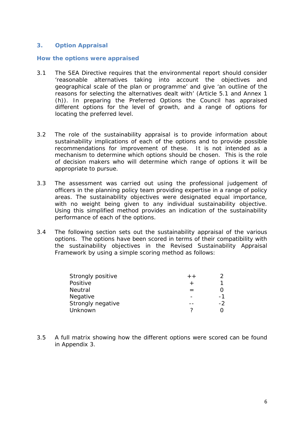#### **3. Option Appraisal**

#### **How the options were appraised**

- 3.1 The SEA Directive requires that the environmental report should consider '*reasonable alternatives taking into account the objectives and geographical scale of the plan or programme'* and give *'an outline of the reasons for selecting the alternatives dealt with'* (Article 5.1 and Annex 1 (h)). In preparing the Preferred Options the Council has appraised different options for the level of growth, and a range of options for locating the preferred level.
- 3.2 The role of the sustainability appraisal is to provide information about sustainability implications of each of the options and to provide possible recommendations for improvement of these. It is not intended as a mechanism to determine which options should be chosen. This is the role of decision makers who will determine which range of options it will be appropriate to pursue.
- 3.3 The assessment was carried out using the professional judgement of officers in the planning policy team providing expertise in a range of policy areas. The sustainability objectives were designated equal importance, with no weight being given to any individual sustainability objective. Using this simplified method provides an indication of the sustainability performance of each of the options.
- 3.4 The following section sets out the sustainability appraisal of the various options. The options have been scored in terms of their compatibility with the sustainability objectives in the Revised Sustainability Appraisal Framework by using a simple scoring method as follows:

| Strongly positive | $+ +$ |    |
|-------------------|-------|----|
| Positive          |       |    |
| Neutral           |       |    |
| Negative          |       | -1 |
| Strongly negative |       | -2 |
| Unknown           |       |    |

3.5 A full matrix showing how the different options were scored can be found in Appendix 3.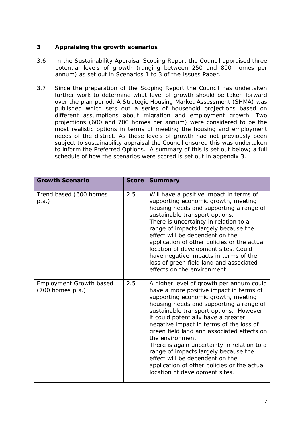#### **3 Appraising the growth scenarios**

- 3.6 In the Sustainability Appraisal Scoping Report the Council appraised three potential levels of growth (ranging between 250 and 800 homes per annum) as set out in Scenarios 1 to 3 of the Issues Paper.
- 3.7 Since the preparation of the Scoping Report the Council has undertaken further work to determine what level of growth should be taken forward over the plan period. A Strategic Housing Market Assessment (SHMA) was published which sets out a series of household projections based on different assumptions about migration and employment growth. Two projections (600 and 700 homes per annum) were considered to be the most realistic options in terms of meeting the housing and employment needs of the district. As these levels of growth had not previously been subject to sustainability appraisal the Council ensured this was undertaken to inform the Preferred Options. A summary of this is set out below; a full schedule of how the scenarios were scored is set out in appendix 3.

| <b>Growth Scenario</b>                                 | <b>Score</b> | <b>Summary</b>                                                                                                                                                                                                                                                                                                                                                                                                                                                                                                                                                                 |
|--------------------------------------------------------|--------------|--------------------------------------------------------------------------------------------------------------------------------------------------------------------------------------------------------------------------------------------------------------------------------------------------------------------------------------------------------------------------------------------------------------------------------------------------------------------------------------------------------------------------------------------------------------------------------|
| Trend based (600 homes<br>p.a.)                        | 2.5          | Will have a positive impact in terms of<br>supporting economic growth, meeting<br>housing needs and supporting a range of<br>sustainable transport options.<br>There is uncertainty in relation to a<br>range of impacts largely because the<br>effect will be dependent on the<br>application of other policies or the actual<br>location of development sites. Could<br>have negative impacts in terms of the<br>loss of green field land and associated<br>effects on the environment.                                                                                      |
| <b>Employment Growth based</b><br>$(700$ homes $p.a.)$ | 2.5          | A higher level of growth per annum could<br>have a more positive impact in terms of<br>supporting economic growth, meeting<br>housing needs and supporting a range of<br>sustainable transport options. However<br>it could potentially have a greater<br>negative impact in terms of the loss of<br>green field land and associated effects on<br>the environment.<br>There is again uncertainty in relation to a<br>range of impacts largely because the<br>effect will be dependent on the<br>application of other policies or the actual<br>location of development sites. |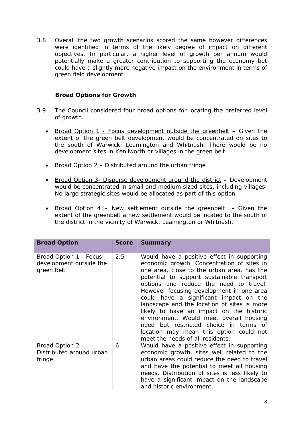3.8 Overall the two growth scenarios scored the same however differences were identified in terms of the likely degree of impact on different objectives. In particular, a higher level of growth per annum would potentially make a greater contribution to supporting the economy but could have a slightly more negative impact on the environment in terms of green field development.

## **Broad Options for Growth**

- 3.9 The Council considered four broad options for locating the preferred level of growth.
	- Broad Option 1 Focus development outside the greenbelt Given the extent of the green belt development would be concentrated on sites to the south of Warwick, Leamington and Whitnash. There would be no development sites in Kenilworth or villages in the green belt.
	- Broad Option 2 Distributed around the urban fringe
	- Broad Option 3- Disperse development around the district **–** Development would be concentrated in small and medium sized sites, including villages. No large strategic sites would be allocated as part of this option.
	- Broad Option 4 New settlement outside the greenbelt **-** Given the extent of the greenbelt a new settlement would be located to the south of the district in the vicinity of Warwick, Leamington or Whitnash.

| <b>Broad Option</b>                                             | <b>Score</b> | <b>Summary</b>                                                                                                                                                                                                                                                                                                                                                                                                                                                                                                                                                                      |
|-----------------------------------------------------------------|--------------|-------------------------------------------------------------------------------------------------------------------------------------------------------------------------------------------------------------------------------------------------------------------------------------------------------------------------------------------------------------------------------------------------------------------------------------------------------------------------------------------------------------------------------------------------------------------------------------|
| Broad Option 1 - Focus<br>development outside the<br>green belt | 2.5          | Would have a positive effect in supporting<br>economic growth. Concentration of sites in<br>one area, close to the urban area, has the<br>potential to support sustainable transport<br>options and reduce the need to travel.<br>However focusing development in one area<br>could have a significant impact on the<br>landscape and the location of sites is more<br>likely to have an impact on the historic<br>environment. Would meet overall housing<br>need but restricted choice in terms of<br>location may mean this option could not<br>meet the needs of all residents. |
| Broad Option 2 -<br>Distributed around urban<br>fringe          | 6            | Would have a positive effect in supporting<br>economic growth, sites well related to the<br>urban areas could reduce the need to travel<br>and have the potential to meet all housing<br>needs. Distribution of sites is less likely to<br>have a significant impact on the landscape<br>and historic environment.                                                                                                                                                                                                                                                                  |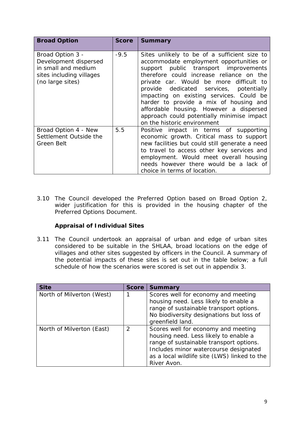| <b>Broad Option</b>                                                                                              | <b>Score</b> | <b>Summary</b>                                                                                                                                                                                                                                                                                                                                                                                                                                                                   |
|------------------------------------------------------------------------------------------------------------------|--------------|----------------------------------------------------------------------------------------------------------------------------------------------------------------------------------------------------------------------------------------------------------------------------------------------------------------------------------------------------------------------------------------------------------------------------------------------------------------------------------|
| Broad Option 3 -<br>Development dispersed<br>in small and medium<br>sites including villages<br>(no large sites) | $-9.5$       | Sites unlikely to be of a sufficient size to<br>accommodate employment opportunities or<br>support public transport improvements<br>therefore could increase reliance on the<br>private car. Would be more difficult to<br>provide dedicated services, potentially<br>impacting on existing services. Could be<br>harder to provide a mix of housing and<br>affordable housing. However a dispersed<br>approach could potentially minimise impact<br>on the historic environment |
| Broad Option 4 - New<br>Settlement Outside the<br>Green Belt                                                     | 5.5          | Positive impact in terms of supporting<br>economic growth. Critical mass to support<br>new facilities but could still generate a need<br>to travel to access other key services and<br>employment. Would meet overall housing<br>needs however there would be a lack of<br>choice in terms of location.                                                                                                                                                                          |

3.10 The Council developed the Preferred Option based on Broad Option 2, wider justification for this is provided in the housing chapter of the Preferred Options Document.

## **Appraisal of Individual Sites**

3.11 The Council undertook an appraisal of urban and edge of urban sites considered to be suitable in the SHLAA, broad locations on the edge of villages and other sites suggested by officers in the Council. A summary of the potential impacts of these sites is set out in the table below; a full schedule of how the scenarios were scored is set out in appendix 3.

| <b>Site</b>               | <b>Score</b>  | <b>Summary</b>                                                                                                                                                                                                                  |
|---------------------------|---------------|---------------------------------------------------------------------------------------------------------------------------------------------------------------------------------------------------------------------------------|
| North of Milverton (West) |               | Scores well for economy and meeting<br>housing need. Less likely to enable a<br>range of sustainable transport options.<br>No biodiversity designations but loss of<br>greenfield land.                                         |
| North of Milverton (East) | $\mathcal{P}$ | Scores well for economy and meeting<br>housing need. Less likely to enable a<br>range of sustainable transport options.<br>Includes minor watercourse designated<br>as a local wildlife site (LWS) linked to the<br>River Avon. |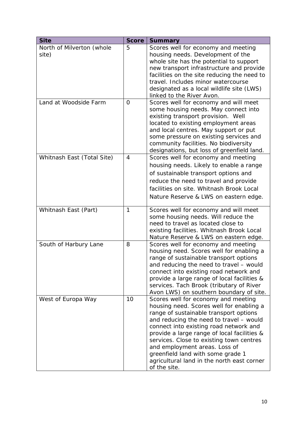| <b>Site</b>                        | <b>Score</b> | <b>Summary</b>                                                                                                                                                                                                                                                                                                                                                                                                                                |
|------------------------------------|--------------|-----------------------------------------------------------------------------------------------------------------------------------------------------------------------------------------------------------------------------------------------------------------------------------------------------------------------------------------------------------------------------------------------------------------------------------------------|
| North of Milverton (whole<br>site) | 5            | Scores well for economy and meeting<br>housing needs. Development of the<br>whole site has the potential to support<br>new transport infrastructure and provide<br>facilities on the site reducing the need to<br>travel. Includes minor watercourse<br>designated as a local wildlife site (LWS)<br>linked to the River Avon.                                                                                                                |
| Land at Woodside Farm              | 0            | Scores well for economy and will meet<br>some housing needs. May connect into<br>existing transport provision. Well<br>located to existing employment areas<br>and local centres. May support or put<br>some pressure on existing services and<br>community facilities. No biodiversity<br>designations, but loss of greenfield land.                                                                                                         |
| Whitnash East (Total Site)         | 4            | Scores well for economy and meeting<br>housing needs. Likely to enable a range<br>of sustainable transport options and<br>reduce the need to travel and provide<br>facilities on site. Whitnash Brook Local<br>Nature Reserve & LWS on eastern edge.                                                                                                                                                                                          |
| Whitnash East (Part)               | 1            | Scores well for economy and will meet<br>some housing needs. Will reduce the<br>need to travel as located close to<br>existing facilities. Whitnash Brook Local<br>Nature Reserve & LWS on eastern edge.                                                                                                                                                                                                                                      |
| South of Harbury Lane              | 8            | Scores well for economy and meeting<br>housing need. Scores well for enabling a<br>range of sustainable transport options<br>and reducing the need to travel - would<br>connect into existing road network and<br>provide a large range of local facilities &<br>services. Tach Brook (tributary of River<br>Avon LWS) on southern boundary of site.                                                                                          |
| West of Europa Way                 | 10           | Scores well for economy and meeting<br>housing need. Scores well for enabling a<br>range of sustainable transport options<br>and reducing the need to travel - would<br>connect into existing road network and<br>provide a large range of local facilities &<br>services. Close to existing town centres<br>and employment areas. Loss of<br>greenfield land with some grade 1<br>agricultural land in the north east corner<br>of the site. |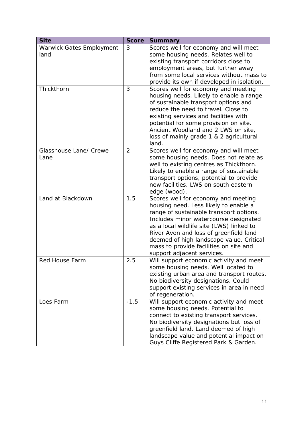| <b>Site</b>                     | <b>Score</b>   | <b>Summary</b>                                                                                                                                                                                                                                                                                                                                                             |
|---------------------------------|----------------|----------------------------------------------------------------------------------------------------------------------------------------------------------------------------------------------------------------------------------------------------------------------------------------------------------------------------------------------------------------------------|
| <b>Warwick Gates Employment</b> | 3              | Scores well for economy and will meet                                                                                                                                                                                                                                                                                                                                      |
| land                            |                | some housing needs. Relates well to                                                                                                                                                                                                                                                                                                                                        |
|                                 |                | existing transport corridors close to                                                                                                                                                                                                                                                                                                                                      |
|                                 |                | employment areas, but further away                                                                                                                                                                                                                                                                                                                                         |
|                                 |                | from some local services without mass to                                                                                                                                                                                                                                                                                                                                   |
|                                 |                | provide its own if developed in isolation.                                                                                                                                                                                                                                                                                                                                 |
| Thickthorn                      | 3              | Scores well for economy and meeting<br>housing needs. Likely to enable a range<br>of sustainable transport options and<br>reduce the need to travel. Close to<br>existing services and facilities with<br>potential for some provision on site.<br>Ancient Woodland and 2 LWS on site,<br>loss of mainly grade 1 & 2 agricultural<br>land.                                 |
| Glasshouse Lane/ Crewe          | $\overline{2}$ | Scores well for economy and will meet                                                                                                                                                                                                                                                                                                                                      |
| Lane                            |                | some housing needs. Does not relate as                                                                                                                                                                                                                                                                                                                                     |
|                                 |                | well to existing centres as Thickthorn.                                                                                                                                                                                                                                                                                                                                    |
|                                 |                | Likely to enable a range of sustainable                                                                                                                                                                                                                                                                                                                                    |
|                                 |                | transport options, potential to provide<br>new facilities. LWS on south eastern                                                                                                                                                                                                                                                                                            |
|                                 |                | edge (wood).                                                                                                                                                                                                                                                                                                                                                               |
| Land at Blackdown               | 1.5            | Scores well for economy and meeting<br>housing need. Less likely to enable a<br>range of sustainable transport options.<br>Includes minor watercourse designated<br>as a local wildlife site (LWS) linked to<br>River Avon and loss of greenfield land<br>deemed of high landscape value. Critical<br>mass to provide facilities on site and<br>support adjacent services. |
| <b>Red House Farm</b>           | 2.5            | Will support economic activity and meet<br>some housing needs. Well located to<br>existing urban area and transport routes.<br>No biodiversity designations. Could<br>support existing services in area in need<br>of regeneration.                                                                                                                                        |
| Loes Farm                       | $-1.5$         | Will support economic activity and meet<br>some housing needs. Potential to<br>connect to existing transport services.<br>No biodiversity designations but loss of<br>greenfield land. Land deemed of high<br>landscape value and potential impact on<br>Guys Cliffe Registered Park & Garden.                                                                             |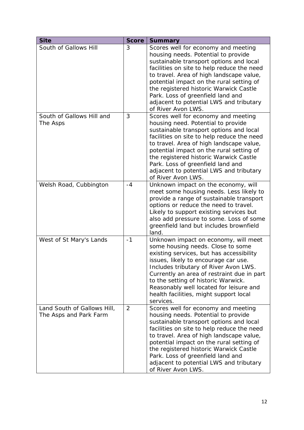| <b>Site</b>                                           | <b>Score</b> | <b>Summary</b>                                                                                                                                                                                                                                                                                                                                                                                              |
|-------------------------------------------------------|--------------|-------------------------------------------------------------------------------------------------------------------------------------------------------------------------------------------------------------------------------------------------------------------------------------------------------------------------------------------------------------------------------------------------------------|
| South of Gallows Hill                                 | 3            | Scores well for economy and meeting<br>housing needs. Potential to provide<br>sustainable transport options and local<br>facilities on site to help reduce the need<br>to travel. Area of high landscape value,<br>potential impact on the rural setting of<br>the registered historic Warwick Castle<br>Park. Loss of greenfield land and<br>adjacent to potential LWS and tributary<br>of River Avon LWS. |
| South of Gallows Hill and<br>The Asps                 | 3            | Scores well for economy and meeting<br>housing need. Potential to provide<br>sustainable transport options and local<br>facilities on site to help reduce the need<br>to travel. Area of high landscape value,<br>potential impact on the rural setting of<br>the registered historic Warwick Castle<br>Park. Loss of greenfield land and<br>adjacent to potential LWS and tributary<br>of River Avon LWS.  |
| Welsh Road, Cubbington                                | $-4$         | Unknown impact on the economy, will<br>meet some housing needs. Less likely to<br>provide a range of sustainable transport<br>options or reduce the need to travel.<br>Likely to support existing services but<br>also add pressure to some. Loss of some<br>greenfield land but includes brownfield<br>land.                                                                                               |
| West of St Mary's Lands                               | $-1$         | Unknown impact on economy, will meet<br>some housing needs. Close to some<br>existing services, but has accessibility<br>issues, likely to encourage car use.<br>Includes tributary of River Avon LWS.<br>Currently an area of restraint due in part<br>to the setting of historic Warwick.<br>Reasonably well located for leisure and<br>health facilities, might support local<br>services.               |
| Land South of Gallows Hill,<br>The Asps and Park Farm | 2            | Scores well for economy and meeting<br>housing needs. Potential to provide<br>sustainable transport options and local<br>facilities on site to help reduce the need<br>to travel. Area of high landscape value,<br>potential impact on the rural setting of<br>the registered historic Warwick Castle<br>Park. Loss of greenfield land and<br>adjacent to potential LWS and tributary<br>of River Avon LWS. |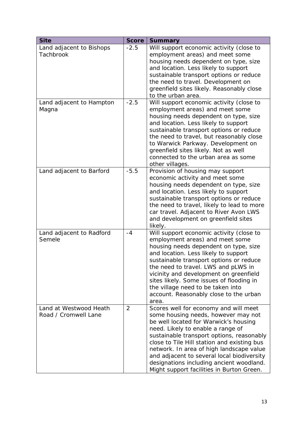| <b>Site</b>                                    | <b>Score</b>   | <b>Summary</b>                                                                                                                                                                                                                                                                                                                                                                                                                            |
|------------------------------------------------|----------------|-------------------------------------------------------------------------------------------------------------------------------------------------------------------------------------------------------------------------------------------------------------------------------------------------------------------------------------------------------------------------------------------------------------------------------------------|
| Land adjacent to Bishops<br><b>Tachbrook</b>   | $-2.5$         | Will support economic activity (close to<br>employment areas) and meet some<br>housing needs dependent on type, size<br>and location. Less likely to support<br>sustainable transport options or reduce<br>the need to travel. Development on<br>greenfield sites likely. Reasonably close<br>to the urban area.                                                                                                                          |
| Land adjacent to Hampton<br>Magna              | $-2.5$         | Will support economic activity (close to<br>employment areas) and meet some<br>housing needs dependent on type, size<br>and location. Less likely to support<br>sustainable transport options or reduce<br>the need to travel, but reasonably close<br>to Warwick Parkway. Development on<br>greenfield sites likely. Not as well<br>connected to the urban area as some<br>other villages.                                               |
| Land adjacent to Barford                       | $-5.5$         | Provision of housing may support<br>economic activity and meet some<br>housing needs dependent on type, size<br>and location. Less likely to support<br>sustainable transport options or reduce<br>the need to travel, likely to lead to more<br>car travel. Adjacent to River Avon LWS<br>and development on greenfield sites<br>likely.                                                                                                 |
| Land adjacent to Radford<br>Semele             | $-4$           | Will support economic activity (close to<br>employment areas) and meet some<br>housing needs dependent on type, size<br>and location. Less likely to support<br>sustainable transport options or reduce<br>the need to travel. LWS and pLWS in<br>vicinity and development on greenfield<br>sites likely. Some issues of flooding in<br>the village need to be taken into<br>account. Reasonably close to the urban<br>area.              |
| Land at Westwood Heath<br>Road / Cromwell Lane | $\overline{2}$ | Scores well for economy and will meet<br>some housing needs, however may not<br>be well located for Warwick's housing<br>need. Likely to enable a range of<br>sustainable transport options, reasonably<br>close to Tile Hill station and existing bus<br>network. In area of high landscape value<br>and adjacent to several local biodiversity<br>designations including ancient woodland.<br>Might support facilities in Burton Green. |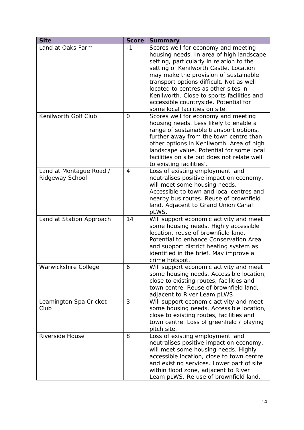| <b>Site</b>                                | <b>Score</b> | <b>Summary</b>                                                                                                                                                                                                                                                                                                                                                                                                              |
|--------------------------------------------|--------------|-----------------------------------------------------------------------------------------------------------------------------------------------------------------------------------------------------------------------------------------------------------------------------------------------------------------------------------------------------------------------------------------------------------------------------|
| Land at Oaks Farm                          | $-1$         | Scores well for economy and meeting<br>housing needs. In area of high landscape<br>setting, particularly in relation to the<br>setting of Kenilworth Castle. Location<br>may make the provision of sustainable<br>transport options difficult. Not as well<br>located to centres as other sites in<br>Kenilworth. Close to sports facilities and<br>accessible countryside. Potential for<br>some local facilities on site. |
| Kenilworth Golf Club                       | 0            | Scores well for economy and meeting<br>housing needs. Less likely to enable a<br>range of sustainable transport options,<br>further away from the town centre than<br>other options in Kenilworth. Area of high<br>landscape value. Potential for some local<br>facilities on site but does not relate well<br>to existing facilities'.                                                                                     |
| Land at Montague Road /<br>Ridgeway School | 4            | Loss of existing employment land<br>neutralises positive impact on economy,<br>will meet some housing needs.<br>Accessible to town and local centres and<br>nearby bus routes. Reuse of brownfield<br>land. Adjacent to Grand Union Canal<br>pLWS.                                                                                                                                                                          |
| Land at Station Approach                   | 14           | Will support economic activity and meet<br>some housing needs. Highly accessible<br>location, reuse of brownfield land.<br>Potential to enhance Conservation Area<br>and support district heating system as<br>identified in the brief. May improve a<br>crime hotspot.                                                                                                                                                     |
| Warwickshire College                       | 6            | Will support economic activity and meet<br>some housing needs. Accessible location,<br>close to existing routes, facilities and<br>town centre. Reuse of brownfield land,<br>adjacent to River Leam pLWS.                                                                                                                                                                                                                   |
| Leamington Spa Cricket<br>Club             | 3            | Will support economic activity and meet<br>some housing needs. Accessible location,<br>close to existing routes, facilities and<br>town centre. Loss of greenfield / playing<br>pitch site.                                                                                                                                                                                                                                 |
| Riverside House                            | 8            | Loss of existing employment land<br>neutralises positive impact on economy,<br>will meet some housing needs. Highly<br>accessible location, close to town centre<br>and existing services. Lower part of site<br>within flood zone, adjacent to River<br>Leam pLWS. Re use of brownfield land.                                                                                                                              |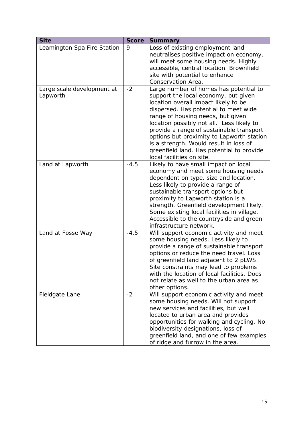| <b>Site</b>                            | <b>Score</b> | <b>Summary</b>                                                                                                                                                                                                                                                                                                                                                                                                                                                 |
|----------------------------------------|--------------|----------------------------------------------------------------------------------------------------------------------------------------------------------------------------------------------------------------------------------------------------------------------------------------------------------------------------------------------------------------------------------------------------------------------------------------------------------------|
| Leamington Spa Fire Station            | 9            | Loss of existing employment land<br>neutralises positive impact on economy,<br>will meet some housing needs. Highly<br>accessible, central location. Brownfield<br>site with potential to enhance<br>Conservation Area.                                                                                                                                                                                                                                        |
| Large scale development at<br>Lapworth | $-2$         | Large number of homes has potential to<br>support the local economy, but given<br>location overall impact likely to be<br>dispersed. Has potential to meet wide<br>range of housing needs, but given<br>location possibly not all. Less likely to<br>provide a range of sustainable transport<br>options but proximity to Lapworth station<br>is a strength. Would result in loss of<br>greenfield land. Has potential to provide<br>local facilities on site. |
| Land at Lapworth                       | $-4.5$       | Likely to have small impact on local<br>economy and meet some housing needs<br>dependent on type, size and location.<br>Less likely to provide a range of<br>sustainable transport options but<br>proximity to Lapworth station is a<br>strength. Greenfield development likely.<br>Some existing local facilities in village.<br>Accessible to the countryside and green<br>infrastructure network.                                                           |
| Land at Fosse Way                      | $-4.5$       | Will support economic activity and meet<br>some housing needs. Less likely to<br>provide a range of sustainable transport<br>options or reduce the need travel. Loss<br>of greenfield land adjacent to 2 pLWS.<br>Site constraints may lead to problems<br>with the location of local facilities. Does<br>not relate as well to the urban area as<br>other options.                                                                                            |
| Fieldgate Lane                         | $-2$         | Will support economic activity and meet<br>some housing needs. Will not support<br>new services and facilities, but well<br>located to urban area and provides<br>opportunities for walking and cycling. No<br>biodiversity designations, loss of<br>greenfield land, and one of few examples<br>of ridge and furrow in the area.                                                                                                                              |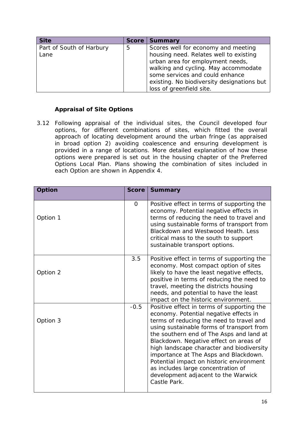| <b>Site</b>                      | <b>Score</b> | <b>Summary</b>                                                                                                                                                                                                                                                         |
|----------------------------------|--------------|------------------------------------------------------------------------------------------------------------------------------------------------------------------------------------------------------------------------------------------------------------------------|
| Part of South of Harbury<br>Lane | 5            | Scores well for economy and meeting<br>housing need. Relates well to existing<br>urban area for employment needs,<br>walking and cycling. May accommodate<br>some services and could enhance<br>existing. No biodiversity designations but<br>loss of greenfield site. |

## **Appraisal of Site Options**

3.12 Following appraisal of the individual sites, the Council developed four options, for different combinations of sites, which fitted the overall approach of locating development around the urban fringe (as appraised in broad option 2) avoiding coalescence and ensuring development is provided in a range of locations. More detailed explanation of how these options were prepared is set out in the housing chapter of the Preferred Options Local Plan. Plans showing the combination of sites included in each Option are shown in Appendix 4.

| <b>Option</b> | <b>Score</b> | <b>Summary</b>                                                                                                                                                                                                                                                                                                                                                                                                                                                                                     |
|---------------|--------------|----------------------------------------------------------------------------------------------------------------------------------------------------------------------------------------------------------------------------------------------------------------------------------------------------------------------------------------------------------------------------------------------------------------------------------------------------------------------------------------------------|
| Option 1      | 0            | Positive effect in terms of supporting the<br>economy. Potential negative effects in<br>terms of reducing the need to travel and<br>using sustainable forms of transport from<br>Blackdown and Westwood Heath. Less<br>critical mass to the south to support<br>sustainable transport options.                                                                                                                                                                                                     |
| Option 2      | 3.5          | Positive effect in terms of supporting the<br>economy. Most compact option of sites<br>likely to have the least negative effects,<br>positive in terms of reducing the need to<br>travel, meeting the districts housing<br>needs, and potential to have the least<br>impact on the historic environment.                                                                                                                                                                                           |
| Option 3      | $-0.5$       | Positive effect in terms of supporting the<br>economy. Potential negative effects in<br>terms of reducing the need to travel and<br>using sustainable forms of transport from<br>the southern end of The Asps and land at<br>Blackdown. Negative effect on areas of<br>high landscape character and biodiversity<br>importance at The Asps and Blackdown.<br>Potential impact on historic environment<br>as includes large concentration of<br>development adjacent to the Warwick<br>Castle Park. |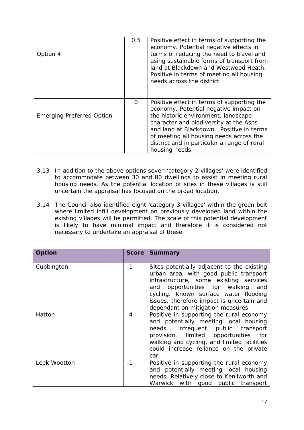| Option 4                         | 0.5 | Positive effect in terms of supporting the<br>economy. Potential negative effects in<br>terms of reducing the need to travel and<br>using sustainable forms of transport from<br>land at Blackdown and Westwood Heath.<br>Positive in terms of meeting all housing<br>needs across the district                              |
|----------------------------------|-----|------------------------------------------------------------------------------------------------------------------------------------------------------------------------------------------------------------------------------------------------------------------------------------------------------------------------------|
| <b>Emerging Preferred Option</b> | 0   | Positive effect in terms of supporting the<br>economy. Potential negative impact on<br>the historic environment, landscape<br>character and biodiversity at the Asps<br>and land at Blackdown. Positive in terms<br>of meeting all housing needs across the<br>district and in particular a range of rural<br>housing needs. |

- 3.13 In addition to the above options seven 'category 2 villages' were identified to accommodate between 30 and 80 dwellings to assist in meeting rural housing needs. As the potential location of sites in these villages is still uncertain the appraisal has focused on the broad location.
- 3.14 The Council also identified eight 'category 3 villages' within the green belt where limited infill development on previously developed land within the existing villages will be permitted. The scale of this potential development is likely to have minimal impact and therefore it is considered not necessary to undertake an appraisal of these.

| Option       | <b>Score</b> | <b>Summary</b>                                                                                                                                                                                                                                                                                    |
|--------------|--------------|---------------------------------------------------------------------------------------------------------------------------------------------------------------------------------------------------------------------------------------------------------------------------------------------------|
| Cubbington   | $-1$         | Sites potentially adjacent to the existing<br>urban area, with good public transport<br>infrastructure, some existing services<br>and opportunities for walking<br>and<br>cycling. Known surface water flooding<br>issues, therefore impact is uncertain and<br>dependant on mitigation measures. |
| Hatton       | $-4$         | Positive in supporting the rural economy<br>and potentially meeting local housing<br>public transport<br>needs. Infrequent<br>provision, limited opportunities<br>for<br>walking and cycling, and limited facilities<br>could increase reliance on the private<br>car.                            |
| Leek Wootton | $-1$         | Positive in supporting the rural economy<br>and potentially meeting local housing<br>needs. Relatively close to Kenilworth and<br>Warwick with good public transport                                                                                                                              |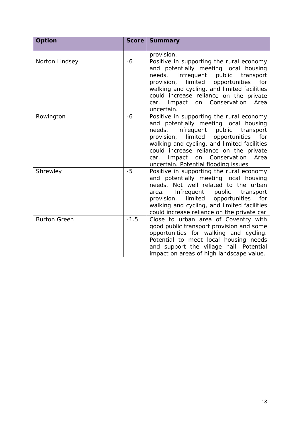| <b>Option</b>       | Score  | <b>Summary</b>                                                                                                                                                                                                                                                                                                                                         |
|---------------------|--------|--------------------------------------------------------------------------------------------------------------------------------------------------------------------------------------------------------------------------------------------------------------------------------------------------------------------------------------------------------|
|                     |        | provision.                                                                                                                                                                                                                                                                                                                                             |
| Norton Lindsey      | $-6$   | Positive in supporting the rural economy<br>and potentially meeting local housing<br>needs.<br>Infrequent public<br>transport<br>limited<br>opportunities<br>for<br>provision,<br>walking and cycling, and limited facilities<br>could increase reliance on the private<br>Conservation<br>Impact<br>Area<br>on<br>car.<br>uncertain.                  |
| Rowington           | -6     | Positive in supporting the rural economy<br>and potentially meeting local housing<br>needs. Infrequent public<br>transport<br>limited<br>opportunities<br>for<br>provision,<br>walking and cycling, and limited facilities<br>could increase reliance on the private<br>Impact on Conservation<br>Area<br>car.<br>uncertain. Potential flooding issues |
| Shrewley            | $-5$   | Positive in supporting the rural economy<br>and potentially meeting local housing<br>needs. Not well related to the urban<br>Infrequent<br>public<br>transport<br>area.<br>limited<br>provision,<br>opportunities<br>for<br>walking and cycling, and limited facilities<br>could increase reliance on the private car                                  |
| <b>Burton Green</b> | $-1.5$ | Close to urban area of Coventry with<br>good public transport provision and some<br>opportunities for walking and cycling.<br>Potential to meet local housing needs<br>and support the village hall. Potential<br>impact on areas of high landscape value.                                                                                             |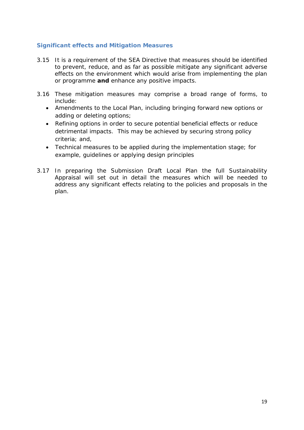#### **Significant effects and Mitigation Measures**

- 3.15 It is a requirement of the SEA Directive that measures should be identified to prevent, reduce, and as far as possible mitigate any significant adverse effects on the environment which would arise from implementing the plan or programme **and** enhance any positive impacts.
- 3.16 These mitigation measures may comprise a broad range of forms, to include:
	- Amendments to the Local Plan, including bringing forward new options or adding or deleting options;
	- Refining options in order to secure potential beneficial effects or reduce detrimental impacts. This may be achieved by securing strong policy criteria; and,
	- Technical measures to be applied during the implementation stage; for example, guidelines or applying design principles
- 3.17 In preparing the Submission Draft Local Plan the full Sustainability Appraisal will set out in detail the measures which will be needed to address any significant effects relating to the policies and proposals in the plan.